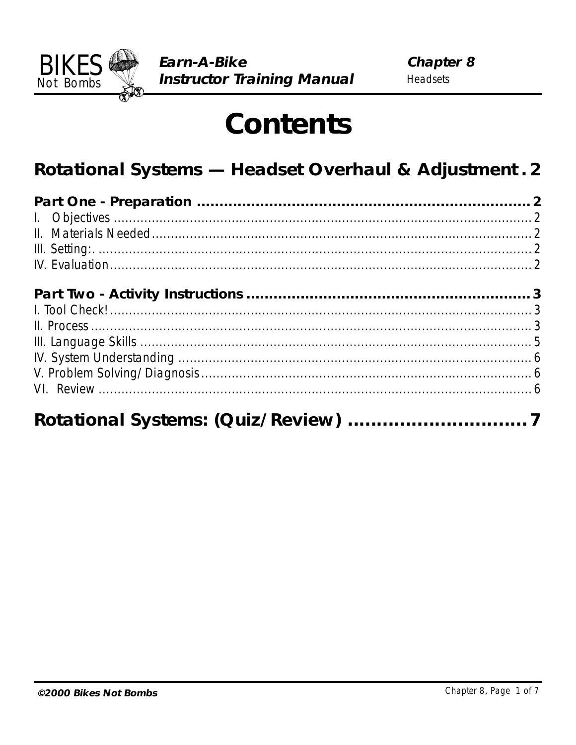

# **Contents**

## Rotational Systems - Headset Overhaul & Adjustment. 2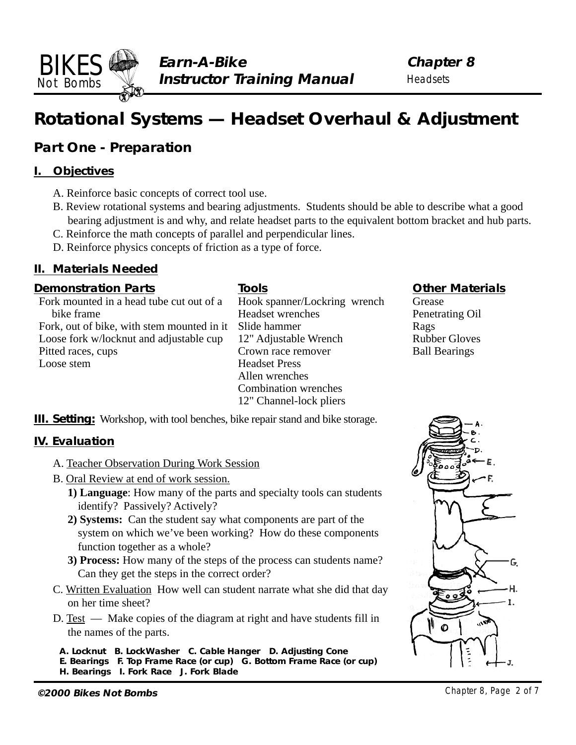**Chapter 8 Headsets** 

## <span id="page-1-0"></span>**Rotational Systems — Headset Overhaul & Adjustment**

#### **Part One - Preparation**

#### **I. Objectives**

- A. Reinforce basic concepts of correct tool use.
- B. Review rotational systems and bearing adjustments. Students should be able to describe what a good bearing adjustment is and why, and relate headset parts to the equivalent bottom bracket and hub parts.

**Tools**

- C. Reinforce the math concepts of parallel and perpendicular lines.
- D. Reinforce physics concepts of friction as a type of force.

#### **II. Materials Needed**

#### **Demonstration Parts**

Fork mounted in a head tube cut out of a bike frame Fork, out of bike, with stem mounted in it Loose fork w/locknut and adjustable cup Pitted races, cups Loose stem

Hook spanner/Lockring wrench Headset wrenches Slide hammer 12" Adjustable Wrench Crown race remover Headset Press Allen wrenches Combination wrenches 12" Channel-lock pliers

#### **Other Materials**

Grease Penetrating Oil Rags Rubber Gloves Ball Bearings

**III. Setting:** Workshop, with tool benches, bike repair stand and bike storage.

#### **IV. Evaluation**

- A. Teacher Observation During Work Session
- B. Oral Review at end of work session.
	- **1) Language**: How many of the parts and specialty tools can students identify? Passively? Actively?
	- **2) Systems:** Can the student say what components are part of the system on which we've been working? How do these components function together as a whole?
	- **3) Process:** How many of the steps of the process can students name? Can they get the steps in the correct order?
- C. Written Evaluation How well can student narrate what she did that day on her time sheet?
- D. Test Make copies of the diagram at right and have students fill in the names of the parts.

**A. Locknut B. LockWasher C. Cable Hanger D. Adjusting Cone E. Bearings F. Top Frame Race (or cup) G. Bottom Frame Race (or cup) H. Bearings I. Fork Race J. Fork Blade**

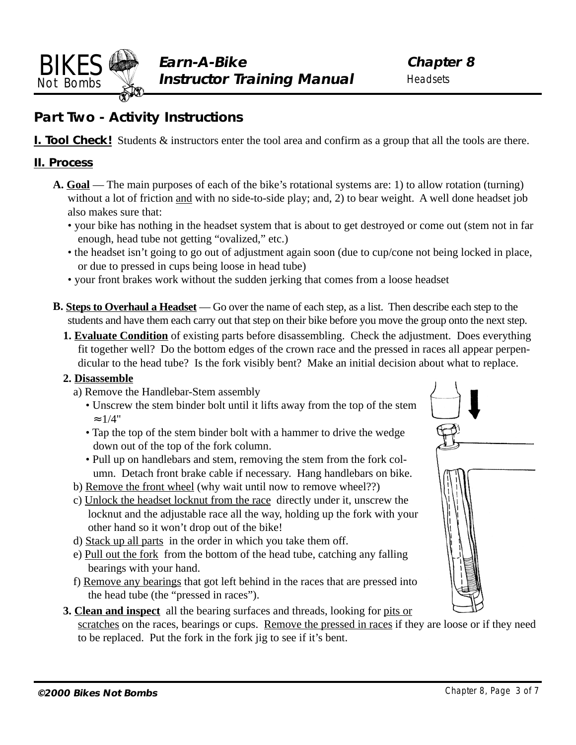<span id="page-2-0"></span>

### **Part Two - Activity Instructions**

**I. Tool Check!** Students  $\&$  instructors enter the tool area and confirm as a group that all the tools are there.

#### **II. Process**

- **A. Goal** The main purposes of each of the bike's rotational systems are: 1) to allow rotation (turning) without a lot of friction and with no side-to-side play; and, 2) to bear weight. A well done headset job also makes sure that:
	- your bike has nothing in the headset system that is about to get destroyed or come out (stem not in far enough, head tube not getting "ovalized," etc.)
	- the headset isn't going to go out of adjustment again soon (due to cup/cone not being locked in place, or due to pressed in cups being loose in head tube)
	- your front brakes work without the sudden jerking that comes from a loose headset
- **B. Steps to Overhaul a Headset** Go over the name of each step, as a list. Then describe each step to the students and have them each carry out that step on their bike before you move the group onto the next step.
	- **1. Evaluate Condition** of existing parts before disassembling. Check the adjustment. Does everything fit together well? Do the bottom edges of the crown race and the pressed in races all appear perpendicular to the head tube? Is the fork visibly bent? Make an initial decision about what to replace.

#### **2. Disassemble**

- a) Remove the Handlebar-Stem assembly
	- Unscrew the stem binder bolt until it lifts away from the top of the stem  $\approx 1/4"$
	- Tap the top of the stem binder bolt with a hammer to drive the wedge down out of the top of the fork column.
	- Pull up on handlebars and stem, removing the stem from the fork column. Detach front brake cable if necessary. Hang handlebars on bike.
- b) Remove the front wheel (why wait until now to remove wheel??)
- c) Unlock the headset locknut from the race directly under it, unscrew the locknut and the adjustable race all the way, holding up the fork with your other hand so it won't drop out of the bike!
- d) Stack up all parts in the order in which you take them off.
- e) Pull out the fork from the bottom of the head tube, catching any falling bearings with your hand.
- f) Remove any bearings that got left behind in the races that are pressed into the head tube (the "pressed in races").
- **3. Clean and inspect** all the bearing surfaces and threads, looking for pits or scratches on the races, bearings or cups. Remove the pressed in races if they are loose or if they need to be replaced. Put the fork in the fork jig to see if it's bent.

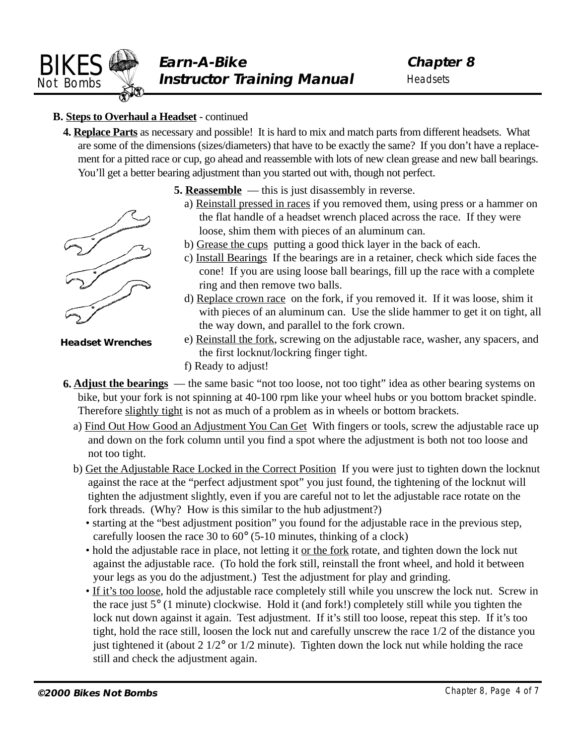

#### **B. Steps to Overhaul a Headset** - continued

**4. Replace Parts** as necessary and possible! It is hard to mix and match parts from different headsets. What are some of the dimensions (sizes/diameters) that have to be exactly the same? If you don't have a replacement for a pitted race or cup, go ahead and reassemble with lots of new clean grease and new ball bearings. You'll get a better bearing adjustment than you started out with, though not perfect.



**Headset Wrenches**

- **5. Reassemble** this is just disassembly in reverse.
	- a) Reinstall pressed in races if you removed them, using press or a hammer on the flat handle of a headset wrench placed across the race. If they were loose, shim them with pieces of an aluminum can.
	- b) Grease the cups putting a good thick layer in the back of each.
	- c) Install Bearings If the bearings are in a retainer, check which side faces the cone! If you are using loose ball bearings, fill up the race with a complete ring and then remove two balls.
	- d) Replace crown race on the fork, if you removed it. If it was loose, shim it with pieces of an aluminum can. Use the slide hammer to get it on tight, all the way down, and parallel to the fork crown.
	- e) Reinstall the fork, screwing on the adjustable race, washer, any spacers, and the first locknut/lockring finger tight.
	- f) Ready to adjust!
- **6. Adjust the bearings**  the same basic "not too loose, not too tight" idea as other bearing systems on bike, but your fork is not spinning at 40-100 rpm like your wheel hubs or you bottom bracket spindle. Therefore slightly tight is not as much of a problem as in wheels or bottom brackets.
	- a) Find Out How Good an Adjustment You Can Get With fingers or tools, screw the adjustable race up and down on the fork column until you find a spot where the adjustment is both not too loose and not too tight.
	- b) Get the Adjustable Race Locked in the Correct Position If you were just to tighten down the locknut against the race at the "perfect adjustment spot" you just found, the tightening of the locknut will tighten the adjustment slightly, even if you are careful not to let the adjustable race rotate on the fork threads. (Why? How is this similar to the hub adjustment?)
		- starting at the "best adjustment position" you found for the adjustable race in the previous step, carefully loosen the race 30 to 60° (5-10 minutes, thinking of a clock)
		- hold the adjustable race in place, not letting it or the fork rotate, and tighten down the lock nut against the adjustable race. (To hold the fork still, reinstall the front wheel, and hold it between your legs as you do the adjustment.) Test the adjustment for play and grinding.
		- If it's too loose, hold the adjustable race completely still while you unscrew the lock nut. Screw in the race just 5° (1 minute) clockwise. Hold it (and fork!) completely still while you tighten the lock nut down against it again. Test adjustment. If it's still too loose, repeat this step. If it's too tight, hold the race still, loosen the lock nut and carefully unscrew the race 1/2 of the distance you just tightened it (about 2 1/2° or 1/2 minute). Tighten down the lock nut while holding the race still and check the adjustment again.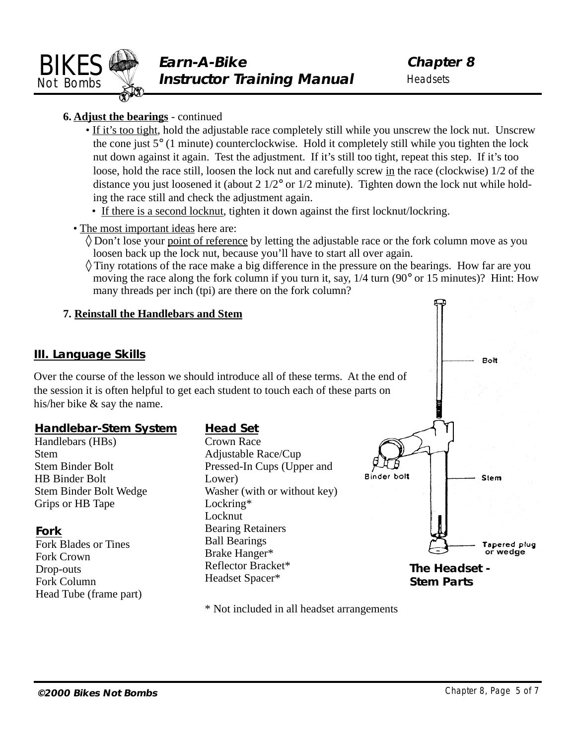<span id="page-4-0"></span>

**Chapter 8 Headsets** 

#### **6. Adjust the bearings** - continued

- If it's too tight, hold the adjustable race completely still while you unscrew the lock nut. Unscrew the cone just 5° (1 minute) counterclockwise. Hold it completely still while you tighten the lock nut down against it again. Test the adjustment. If it's still too tight, repeat this step. If it's too loose, hold the race still, loosen the lock nut and carefully screw in the race (clockwise) 1/2 of the distance you just loosened it (about 2 1/2° or 1/2 minute). Tighten down the lock nut while holding the race still and check the adjustment again.
	- If there is a second locknut, tighten it down against the first locknut/lockring.
- The most important ideas here are:
	- ◊ Don't lose your point of reference by letting the adjustable race or the fork column move as you loosen back up the lock nut, because you'll have to start all over again.
	- $\Diamond$  Tiny rotations of the race make a big difference in the pressure on the bearings. How far are you moving the race along the fork column if you turn it, say, 1/4 turn (90° or 15 minutes)? Hint: How many threads per inch (tpi) are there on the fork column?

#### **7. Reinstall the Handlebars and Stem III. Language Skills** Bolt Over the course of the lesson we should introduce all of these terms. At the end of the session it is often helpful to get each student to touch each of these parts on his/her bike & say the name. **Handlebar-Stem System Head Set** Handlebars (HBs) Crown Race Adjustable Race/Cup Stem Stem Binder Bolt Pressed-In Cups (Upper and Binder bolt Stem HB Binder Bolt Lower) Stem Binder Bolt Wedge Washer (with or without key) Grips or HB Tape Lockring\* Locknut Bearing Retainers **Fork** Ball Bearings Fork Blades or Tines Tapered plug or wedae Brake Hanger\* Fork Crown Reflector Bracket\* **The Headset -** Drop-outs Headset Spacer\* **Stem Parts** Fork Column Head Tube (frame part)

\* Not included in all headset arrangements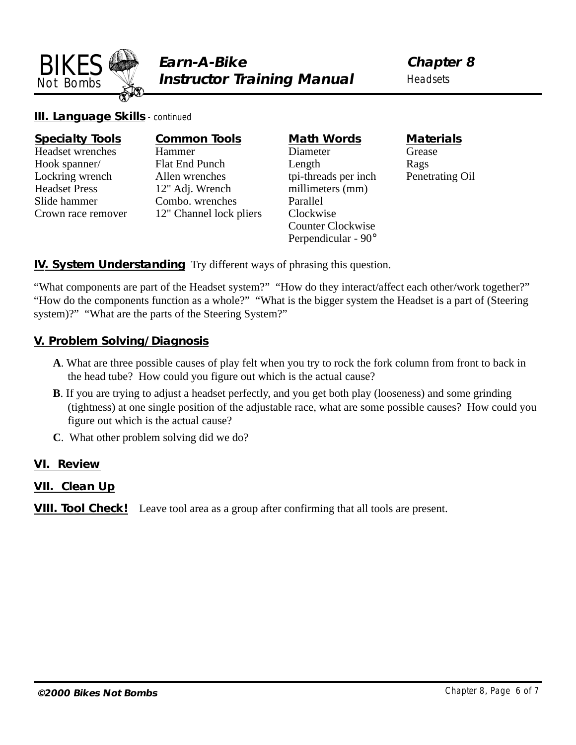<span id="page-5-0"></span>

**Chapter 8 Headsets** 

**III. Language Skills** - continued

| <b>Specialty Tools</b> | <b>Common Tools</b>     | <b>Math Words</b>        | <b>Materials</b> |
|------------------------|-------------------------|--------------------------|------------------|
| Headset wrenches       | Hammer                  | Diameter                 | Grease           |
| Hook spanner/          | Flat End Punch          | Length                   | Rags             |
| Lockring wrench        | Allen wrenches          | tpi-threads per inch     | Penetrating Oil  |
| <b>Headset Press</b>   | 12" Adj. Wrench         | millimeters (mm)         |                  |
| Slide hammer           | Combo. wrenches         | Parallel                 |                  |
| Crown race remover     | 12" Channel lock pliers | Clockwise                |                  |
|                        |                         | <b>Counter Clockwise</b> |                  |
|                        |                         | Perpendicular - 90°      |                  |

#### **IV. System Understanding** Try different ways of phrasing this question.

"What components are part of the Headset system?" "How do they interact/affect each other/work together?" "How do the components function as a whole?" "What is the bigger system the Headset is a part of (Steering system)?" "What are the parts of the Steering System?"

#### **V. Problem Solving/Diagnosis**

- **A**. What are three possible causes of play felt when you try to rock the fork column from front to back in the head tube? How could you figure out which is the actual cause?
- **B**. If you are trying to adjust a headset perfectly, and you get both play (looseness) and some grinding (tightness) at one single position of the adjustable race, what are some possible causes? How could you figure out which is the actual cause?
- **C**. What other problem solving did we do?

#### **VI. Review**

#### **VII. Clean Up**

**VIII. Tool Check!** Leave tool area as a group after confirming that all tools are present.